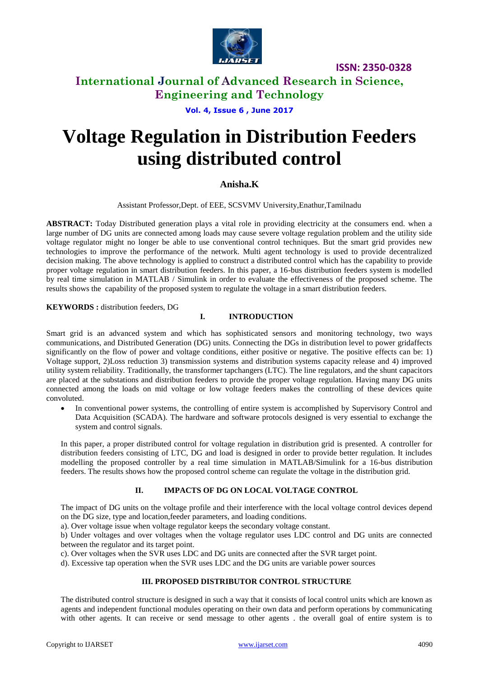

**ISSN: 2350-0328**

## **International Journal of Advanced Research in Science, Engineering and Technology**

**Vol. 4, Issue 6 , June 2017**

# **Voltage Regulation in Distribution Feeders using distributed control**

### **Anisha.K**

Assistant Professor,Dept. of EEE, SCSVMV University,Enathur,Tamilnadu

**ABSTRACT:** Today Distributed generation plays a vital role in providing electricity at the consumers end. when a large number of DG units are connected among loads may cause severe voltage regulation problem and the utility side voltage regulator might no longer be able to use conventional control techniques. But the smart grid provides new technologies to improve the performance of the network. Multi agent technology is used to provide decentralized decision making. The above technology is applied to construct a distributed control which has the capability to provide proper voltage regulation in smart distribution feeders. In this paper, a 16-bus distribution feeders system is modelled by real time simulation in MATLAB / Simulink in order to evaluate the effectiveness of the proposed scheme. The results shows the capability of the proposed system to regulate the voltage in a smart distribution feeders.

**KEYWORDS :** distribution feeders, DG

#### **I. INTRODUCTION**

Smart grid is an advanced system and which has sophisticated sensors and monitoring technology, two ways communications, and Distributed Generation (DG) units. Connecting the DGs in distribution level to power gridaffects significantly on the flow of power and voltage conditions, either positive or negative. The positive effects can be: 1) Voltage support, 2)Loss reduction 3) transmission systems and distribution systems capacity release and 4) improved utility system reliability. Traditionally, the transformer tapchangers (LTC). The line regulators, and the shunt capacitors are placed at the substations and distribution feeders to provide the proper voltage regulation. Having many DG units connected among the loads on mid voltage or low voltage feeders makes the controlling of these devices quite convoluted.

• In conventional power systems, the controlling of entire system is accomplished by Supervisory Control and Data Acquisition (SCADA). The hardware and software protocols designed is very essential to exchange the system and control signals.

In this paper, a proper distributed control for voltage regulation in distribution grid is presented. A controller for distribution feeders consisting of LTC, DG and load is designed in order to provide better regulation. It includes modelling the proposed controller by a real time simulation in MATLAB/Simulink for a 16-bus distribution feeders. The results shows how the proposed control scheme can regulate the voltage in the distribution grid.

#### **II. IMPACTS OF DG ON LOCAL VOLTAGE CONTROL**

The impact of DG units on the voltage profile and their interference with the local voltage control devices depend on the DG size, type and location,feeder parameters, and loading conditions.

a). Over voltage issue when voltage regulator keeps the secondary voltage constant.

b) Under voltages and over voltages when the voltage regulator uses LDC control and DG units are connected between the regulator and its target point.

c). Over voltages when the SVR uses LDC and DG units are connected after the SVR target point.

d). Excessive tap operation when the SVR uses LDC and the DG units are variable power sources

#### **III. PROPOSED DISTRIBUTOR CONTROL STRUCTURE**

The distributed control structure is designed in such a way that it consists of local control units which are known as agents and independent functional modules operating on their own data and perform operations by communicating with other agents. It can receive or send message to other agents . the overall goal of entire system is to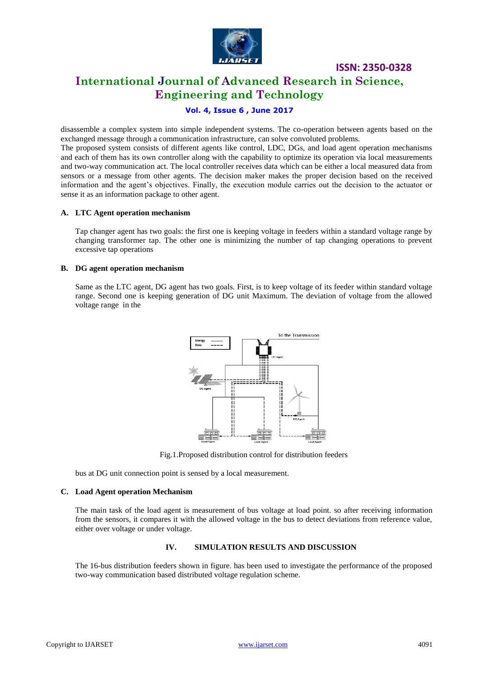

## **ISSN: 2350-0328 International Journal of Advanced Research in Science, Engineering and Technology**

## **Vol. 4, Issue 6 , June 2017**

disassemble a complex system into simple independent systems. The co-operation between agents based on the exchanged message through a communication infrastructure, can solve convoluted problems.

The proposed system consists of different agents like control, LDC, DGs, and load agent operation mechanisms and each of them has its own controller along with the capability to optimize its operation via local measurements and two-way communication act. The local controller receives data which can be either a local measured data from sensors or a message from other agents. The decision maker makes the proper decision based on the received information and the agent's objectives. Finally, the execution module carries out the decision to the actuator or sense it as an information package to other agent.

#### **A. LTC Agent operation mechanism**

Tap changer agent has two goals: the first one is keeping voltage in feeders within a standard voltage range by changing transformer tap. The other one is minimizing the number of tap changing operations to prevent excessive tap operations

#### **B. DG agent operation mechanism**

Same as the LTC agent, DG agent has two goals. First, is to keep voltage of its feeder within standard voltage range. Second one is keeping generation of DG unit Maximum. The deviation of voltage from the allowed voltage range in the



Fig.1.Proposed distribution control for distribution feeders

bus at DG unit connection point is sensed by a local measurement.

#### **C. Load Agent operation Mechanism**

The main task of the load agent is measurement of bus voltage at load point. so after receiving information from the sensors, it compares it with the allowed voltage in the bus to detect deviations from reference value, either over voltage or under voltage.

#### **IV. SIMULATION RESULTS AND DISCUSSION**

The 16-bus distribution feeders shown in figure. has been used to investigate the performance of the proposed two-way communication based distributed voltage regulation scheme.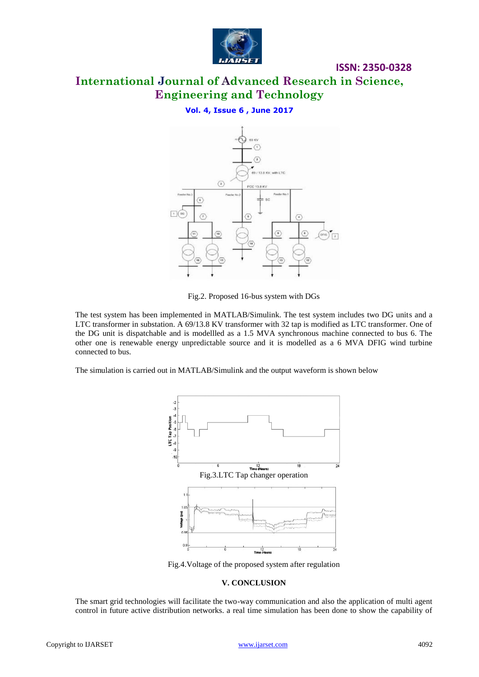

## **International Journal of Advanced Research in Science, Engineering and Technology**

**ISSN: 2350-0328**

### **Vol. 4, Issue 6 , June 2017**



Fig.2. Proposed 16-bus system with DGs

The test system has been implemented in MATLAB/Simulink. The test system includes two DG units and a LTC transformer in substation. A 69/13.8 KV transformer with 32 tap is modified as LTC transformer. One of the DG unit is dispatchable and is modellled as a 1.5 MVA synchronous machine connected to bus 6. The other one is renewable energy unpredictable source and it is modelled as a 6 MVA DFIG wind turbine connected to bus.

The simulation is carried out in MATLAB/Simulink and the output waveform is shown below



Fig.4.Voltage of the proposed system after regulation

#### **V. CONCLUSION**

The smart grid technologies will facilitate the two-way communication and also the application of multi agent control in future active distribution networks. a real time simulation has been done to show the capability of